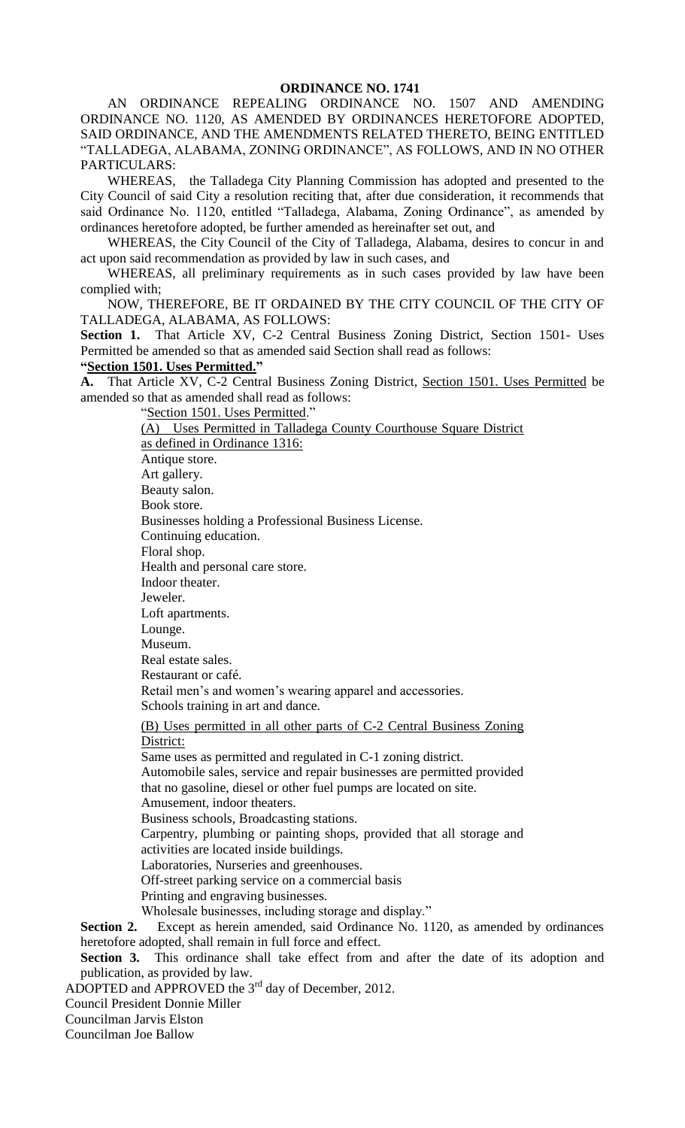AN ORDINANCE REPEALING ORDINANCE NO. 1507 AND AMENDING ORDINANCE NO. 1120, AS AMENDED BY ORDINANCES HERETOFORE ADOPTED, SAID ORDINANCE, AND THE AMENDMENTS RELATED THERETO, BEING ENTITLED "TALLADEGA, ALABAMA, ZONING ORDINANCE", AS FOLLOWS, AND IN NO OTHER PARTICULARS:

WHEREAS, the Talladega City Planning Commission has adopted and presented to the City Council of said City a resolution reciting that, after due consideration, it recommends that said Ordinance No. 1120, entitled "Talladega, Alabama, Zoning Ordinance", as amended by ordinances heretofore adopted, be further amended as hereinafter set out, and

WHEREAS, the City Council of the City of Talladega, Alabama, desires to concur in and act upon said recommendation as provided by law in such cases, and

WHEREAS, all preliminary requirements as in such cases provided by law have been complied with;

NOW, THEREFORE, BE IT ORDAINED BY THE CITY COUNCIL OF THE CITY OF TALLADEGA, ALABAMA, AS FOLLOWS:

**Section 1.** That Article XV, C-2 Central Business Zoning District, Section 1501- Uses Permitted be amended so that as amended said Section shall read as follows:

## **"Section 1501. Uses Permitted."**

**A.** That Article XV, C-2 Central Business Zoning District, Section 1501. Uses Permitted be amended so that as amended shall read as follows:

> "Section 1501. Uses Permitted." (A) Uses Permitted in Talladega County Courthouse Square District as defined in Ordinance 1316: Antique store. Art gallery. Beauty salon. Book store. Businesses holding a Professional Business License. Continuing education. Floral shop. Health and personal care store. Indoor theater. Jeweler. Loft apartments. Lounge. Museum. Real estate sales. Restaurant or café. Retail men's and women's wearing apparel and accessories. Schools training in art and dance. (B) Uses permitted in all other parts of C-2 Central Business Zoning District: Same uses as permitted and regulated in C-1 zoning district. Automobile sales, service and repair businesses are permitted provided that no gasoline, diesel or other fuel pumps are located on site. Amusement, indoor theaters. Business schools, Broadcasting stations. Carpentry, plumbing or painting shops, provided that all storage and activities are located inside buildings. Laboratories, Nurseries and greenhouses. Off-street parking service on a commercial basis Printing and engraving businesses.

Wholesale businesses, including storage and display."

**Section 2.** Except as herein amended, said Ordinance No. 1120, as amended by ordinances heretofore adopted, shall remain in full force and effect.

Section 3. This ordinance shall take effect from and after the date of its adoption and publication, as provided by law.

ADOPTED and APPROVED the  $3<sup>rd</sup>$  day of December, 2012.

Council President Donnie Miller

Councilman Jarvis Elston

Councilman Joe Ballow